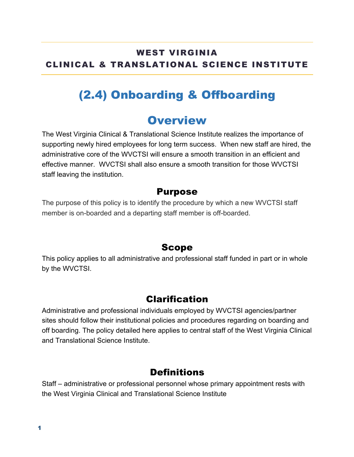## WEST VIRGINIA CLINICAL & TRANSLATIONAL SCIENCE INSTITUTE

# (2.4) Onboarding & Offboarding

## **Overview**

The West Virginia Clinical & Translational Science Institute realizes the importance of supporting newly hired employees for long term success. When new staff are hired, the administrative core of the WVCTSI will ensure a smooth transition in an efficient and effective manner. WVCTSI shall also ensure a smooth transition for those WVCTSI staff leaving the institution.

### Purpose

The purpose of this policy is to identify the procedure by which a new WVCTSI staff member is on-boarded and a departing staff member is off-boarded.

### Scope

This policy applies to all administrative and professional staff funded in part or in whole by the WVCTSI.

### Clarification

Administrative and professional individuals employed by WVCTSI agencies/partner sites should follow their institutional policies and procedures regarding on boarding and off boarding. The policy detailed here applies to central staff of the West Virginia Clinical and Translational Science Institute.

## **Definitions**

Staff – administrative or professional personnel whose primary appointment rests with the West Virginia Clinical and Translational Science Institute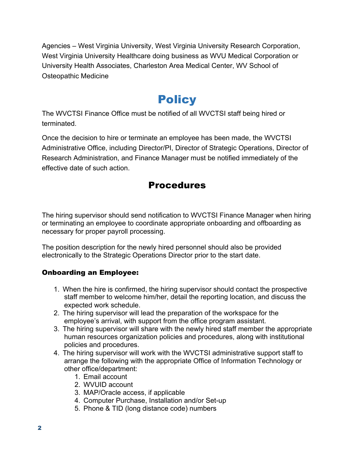Agencies – West Virginia University, West Virginia University Research Corporation, West Virginia University Healthcare doing business as WVU Medical Corporation or University Health Associates, Charleston Area Medical Center, WV School of Osteopathic Medicine

## **Policy**

The WVCTSI Finance Office must be notified of all WVCTSI staff being hired or terminated.

Once the decision to hire or terminate an employee has been made, the WVCTSI Administrative Office, including Director/PI, Director of Strategic Operations, Director of Research Administration, and Finance Manager must be notified immediately of the effective date of such action.

## Procedures

The hiring supervisor should send notification to WVCTSI Finance Manager when hiring or terminating an employee to coordinate appropriate onboarding and offboarding as necessary for proper payroll processing.

The position description for the newly hired personnel should also be provided electronically to the Strategic Operations Director prior to the start date.

#### Onboarding an Employee:

- 1. When the hire is confirmed, the hiring supervisor should contact the prospective staff member to welcome him/her, detail the reporting location, and discuss the expected work schedule.
- 2. The hiring supervisor will lead the preparation of the workspace for the employee's arrival, with support from the office program assistant.
- 3. The hiring supervisor will share with the newly hired staff member the appropriate human resources organization policies and procedures, along with institutional policies and procedures.
- 4. The hiring supervisor will work with the WVCTSI administrative support staff to arrange the following with the appropriate Office of Information Technology or other office/department:
	- 1. Email account
	- 2. WVUID account
	- 3. MAP/Oracle access, if applicable
	- 4. Computer Purchase, Installation and/or Set-up
	- 5. Phone & TID (long distance code) numbers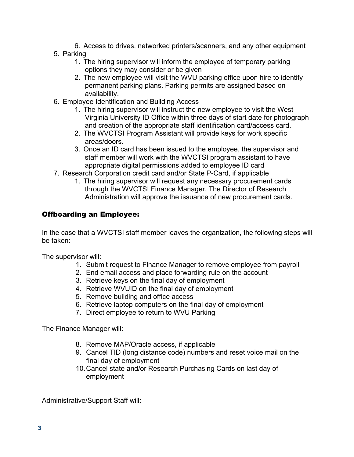6. Access to drives, networked printers/scanners, and any other equipment 5. Parking

- 1. The hiring supervisor will inform the employee of temporary parking options they may consider or be given
- 2. The new employee will visit the WVU parking office upon hire to identify permanent parking plans. Parking permits are assigned based on availability.
- 6. Employee Identification and Building Access
	- 1. The hiring supervisor will instruct the new employee to visit the West Virginia University ID Office within three days of start date for photograph and creation of the appropriate staff identification card/access card.
	- 2. The WVCTSI Program Assistant will provide keys for work specific areas/doors.
	- 3. Once an ID card has been issued to the employee, the supervisor and staff member will work with the WVCTSI program assistant to have appropriate digital permissions added to employee ID card
- 7. Research Corporation credit card and/or State P-Card, if applicable
	- 1. The hiring supervisor will request any necessary procurement cards through the WVCTSI Finance Manager. The Director of Research Administration will approve the issuance of new procurement cards.

#### Offboarding an Employee:

In the case that a WVCTSI staff member leaves the organization, the following steps will be taken:

The supervisor will:

- 1. Submit request to Finance Manager to remove employee from payroll
- 2. End email access and place forwarding rule on the account
- 3. Retrieve keys on the final day of employment
- 4. Retrieve WVUID on the final day of employment
- 5. Remove building and office access
- 6. Retrieve laptop computers on the final day of employment
- 7. Direct employee to return to WVU Parking

The Finance Manager will:

- 8. Remove MAP/Oracle access, if applicable
- 9. Cancel TID (long distance code) numbers and reset voice mail on the final day of employment
- 10.Cancel state and/or Research Purchasing Cards on last day of employment

Administrative/Support Staff will: